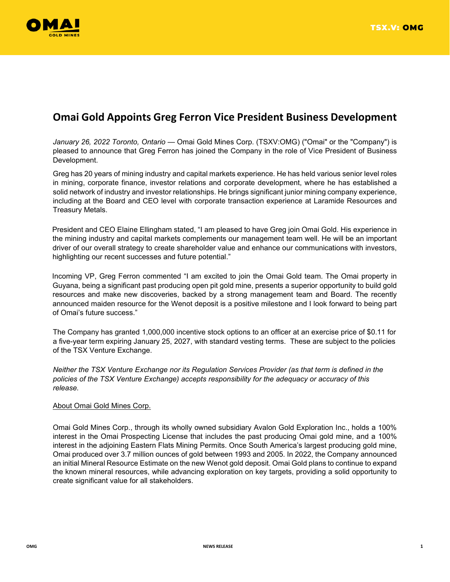

## **Omai Gold Appoints Greg Ferron Vice President Business Development**

*January 26, 2022 Toronto, Ontario* — Omai Gold Mines Corp. (TSXV:OMG) ("Omai" or the "Company") is pleased to announce that Greg Ferron has joined the Company in the role of Vice President of Business Development.

Greg has 20 years of mining industry and capital markets experience. He has held various senior level roles in mining, corporate finance, investor relations and corporate development, where he has established a solid network of industry and investor relationships. He brings significant junior mining company experience, including at the Board and CEO level with corporate transaction experience at Laramide Resources and Treasury Metals.

President and CEO Elaine Ellingham stated, "I am pleased to have Greg join Omai Gold. His experience in the mining industry and capital markets complements our management team well. He will be an important driver of our overall strategy to create shareholder value and enhance our communications with investors, highlighting our recent successes and future potential."

Incoming VP, Greg Ferron commented "I am excited to join the Omai Gold team. The Omai property in Guyana, being a significant past producing open pit gold mine, presents a superior opportunity to build gold resources and make new discoveries, backed by a strong management team and Board. The recently announced maiden resource for the Wenot deposit is a positive milestone and I look forward to being part of Omai's future success."

The Company has granted 1,000,000 incentive stock options to an officer at an exercise price of \$0.11 for a five-year term expiring January 25, 2027, with standard vesting terms. These are subject to the policies of the TSX Venture Exchange.

*Neither the TSX Venture Exchange nor its Regulation Services Provider (as that term is defined in the policies of the TSX Venture Exchange) accepts responsibility for the adequacy or accuracy of this release.*

## About Omai Gold Mines Corp.

Omai Gold Mines Corp., through its wholly owned subsidiary Avalon Gold Exploration Inc., holds a 100% interest in the Omai Prospecting License that includes the past producing Omai gold mine, and a 100% interest in the adjoining Eastern Flats Mining Permits. Once South America's largest producing gold mine, Omai produced over 3.7 million ounces of gold between 1993 and 2005. In 2022, the Company announced an initial Mineral Resource Estimate on the new Wenot gold deposit. Omai Gold plans to continue to expand the known mineral resources, while advancing exploration on key targets, providing a solid opportunity to create significant value for all stakeholders.